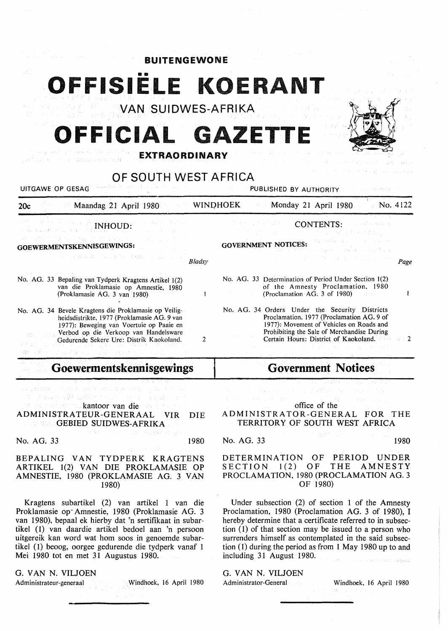| <b>BUITENGEWONE</b>                                                                                                                              |                 |                                                                                                                                         |
|--------------------------------------------------------------------------------------------------------------------------------------------------|-----------------|-----------------------------------------------------------------------------------------------------------------------------------------|
|                                                                                                                                                  |                 |                                                                                                                                         |
| VAN SUIDWES-AFRIKA                                                                                                                               |                 |                                                                                                                                         |
| OFFICIAL GAZETTE                                                                                                                                 |                 |                                                                                                                                         |
| <b>EXTRAORDINARY</b><br>OF SOUTH WEST AFRICA                                                                                                     |                 |                                                                                                                                         |
|                                                                                                                                                  |                 |                                                                                                                                         |
| Maandag 21 April 1980<br>20c                                                                                                                     | <b>WINDHOEK</b> | <b>Monday 21 April 1980</b><br>$\sim$ No. 4122                                                                                          |
| <b>INHOUD:</b>                                                                                                                                   |                 | <b>CONTENTS:</b>                                                                                                                        |
| GOEWERMENTSKENNISGEWINGS:                                                                                                                        |                 | <b>GOVERNMENT NOTICES:</b>                                                                                                              |
| こうこうじ アーマングラフ                                                                                                                                    | <b>Bladsy</b>   | Page                                                                                                                                    |
| No. AG. 33 Bepaling van Tydperk Kragtens Artikel 1(2)<br>van die Proklamasie op Amnestie, 1980<br>(Proklamasie AG. 3 van 1980)                   | 1               | No. AG. 33 Determination of Period Under Section 1(2)<br>of the Amnesty Proclamation, 1980<br>(Proclamation AG. 3 of 1980)<br>1         |
| No. AG. 34 Bevele Kragtens die Proklamasie op Veilig-<br>heidsdistrikte, 1977 (Proklamasie AG. 9 van<br>1977): Beweging van Voertuie op Paaie en |                 | No. AG. 34 Orders Under the Security Districts<br>Proclamation, 1977 (Proclamation AG, 9 of<br>1977): Movement of Vehicles on Roads and |
| Verbod op die Verkoop van Handelsware<br>Gedurende Sekere Ure: Distrik Kaokoland.                                                                | 2               | Prohibiting the Sale of Merchandise During<br>Certain Hours: District of Kaokoland.<br>(1986 - Alia 1                                   |
| Goewermentskennisgewings                                                                                                                         |                 | <b>Government Notices</b>                                                                                                               |

gebiet in elect kantoor van die

ADMINISTRATEUR-GENERAAL VIR DIE **GEBIED SUIDWES-AFRIKA** 

No. AG. 33 1980

is to Pers

## BEPALING VAN TYDPERK KRAGTENS ARTIKEL 1(2) VAN DIE PROKLAMASIE OP AMNESTIE, 1980 (PROKLAMASIE AG. 3 VAN 1980)

Kragtens subartikel (2) van artikel 1 van die Proklamasie op· Amnestie, 1980 (Proklamasie AG. 3 van 1980), bepaal ek hierby dat 'n sertifikaat in subartikel ( 1) van daardie artikel bedoel aan 'n persoon uitgereik kan word wat hom soos in genoemde subartikel (1) beoog, oorgee gedurende die tydperk vanaf l Mei 1980 tot en met 31 Augustus 1980.

G. VAN N. VILJOEN

Administrateur-generaal Windhoek, 16 April 1980

office of the ADMINISTRATOR-GENERAL FOR THE TERRITORY OF SOUTH WEST AFRICA

## No. AG. 33 1980

DETERMINATION OF PERIOD UNDER<br>SECTION 1(2) OF THE AMNESTY SECTION  $1(2)$  OF PROCLAMATION, 1980 (PROCLAMATION AG. 3 OF 1980)

Under subsection (2) of section 1 of the Amnesty Proclamation, 1980 (Proclamation AG. 3 of 1980), I hereby determine that a certificate referred to in subsection (I) of that section may be issued to a person who surrenders himself as contemplated in the said subsection (1) during the period as from 1 May 1980 up to and including 31 August 1980.

G. VAN N. VILJOEN Administrator-General Windhoek, 16 April 1980